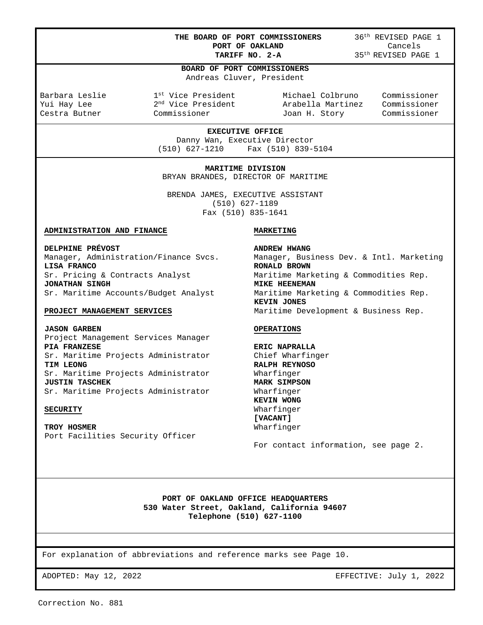**THE BOARD OF PORT COMMISSIONERS** 36<sup>th</sup> REVISED PAGE 1<br>**PORT OF OAKLAND** Cancels  **PORT OF OAKLAND<br>TARIFF NO. 2-A** 

**TARIFF NO. 2-A** 35th REVISED PAGE 1

#### **BOARD OF PORT COMMISSIONERS**

Andreas Cluver, President

L

Barbara Leslie 1st Vice President Michael Colbruno Commissioner Yui Hay Lee 2nd Vice President Arabella Martinez Commissioner Joan H. Story

**EXECUTIVE OFFICE**  Danny Wan, Executive Director (510) 627-1210 Fax (510) 839-5104

**MARITIME DIVISION**  BRYAN BRANDES, DIRECTOR OF MARITIME

BRENDA JAMES, EXECUTIVE ASSISTANT (510) 627-1189 Fax (510) 835-1641

# **ADMINISTRATION AND FINANCE**

**DELPHINE PRÉVOST**  Manager, Administration/Finance Svcs. **LISA FRANCO**  Sr. Pricing & Contracts Analyst **JONATHAN SINGH**  Sr. Maritime Accounts/Budget Analyst

#### **PROJECT MANAGEMENT SERVICES**

**JASON GARBEN**  Project Management Services Manager **PIA FRANZESE**  Sr. Maritime Projects Administrator **TIM LEONG**  Sr. Maritime Projects Administrator **JUSTIN TASCHEK**  Sr. Maritime Projects Administrator

#### **SECURITY**

**TROY HOSMER** 

#### **MARKETING**

**ANDREW HWANG**  Manager, Business Dev. & Intl. Marketing **RONALD BROWN**  Maritime Marketing & Commodities Rep. **MIKE HEENEMAN**  Maritime Marketing & Commodities Rep. **KEVIN JONES**  Maritime Development & Business Rep.

### **OPERATIONS**

**ERIC NAPRALLA**  Chief Wharfinger **RALPH REYNOSO**  Wharfinger **MARK SIMPSON**  Wharfinger **KEVIN WONG**  Wharfinger **[VACANT]**  Wharfinger

For contact information, see page 2.

**PORT OF OAKLAND OFFICE HEADQUARTERS 530 Water Street, Oakland, California 94607 Telephone (510) 627-1100** 

For explanation of abbreviations and reference marks see Page 10.

ADOPTED: May 12, 2022 EFFECTIVE: July 1, 2022

Correction No. 881

Port Facilities Security Officer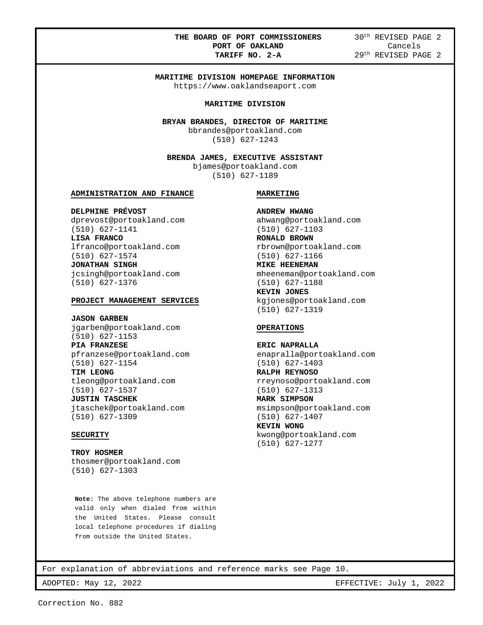# **THE BOARD OF PORT COMMISSIONERS** 30<sup>th</sup> REVISED PAGE 2<br>**PORT OF OAKLAND** Cancels **PORT OF OAKLAND<br>TARIFF NO. 2-A**

**TARIFF NO. 2-A** 29th REVISED PAGE 2

# **MARITIME DIVISION HOMEPAGE INFORMATION**

https://www.oaklandseaport.com

#### **MARITIME DIVISION**

**BRYAN BRANDES, DIRECTOR OF MARITIME**  bbrandes@portoakland.com

(510) 627-1243

**BRENDA JAMES, EXECUTIVE ASSISTANT**  bjames@portoakland.com (510) 627-1189

#### **ADMINISTRATION AND FINANCE**

**DELPHINE PRÉVOST**  dprevost@portoakland.com (510) 627-1141 **LISA FRANCO**  lfranco@portoakland.com (510) 627-1574 **JONATHAN SINGH**  jcsingh@portoakland.com (510) 627-1376

### **PROJECT MANAGEMENT SERVICES**

#### **JASON GARBEN**

L

jgarben@portoakland.com (510) 627-1153 **PIA FRANZESE**  pfranzese@portoakland.com (510) 627-1154

**TIM LEONG**  tleong@portoakland.com (510) 627-1537

**JUSTIN TASCHEK**  jtaschek@portoakland.com (510) 627-1309

#### **SECURITY**

**TROY HOSMER**  thosmer@portoakland.com (510) 627-1303

**Note:** The above telephone numbers are valid only when dialed from within the United States. Please consult local telephone procedures if dialing from outside the United States.

# **MARKETING**

**ANDREW HWANG**  ahwang@portoakland.com (510) 627-1103 **RONALD BROWN**  rbrown@portoakland.com (510) 627-1166 **MIKE HEENEMAN**  mheeneman@portoakland.com (510) 627-1188 **KEVIN JONES**  kgjones@portoakland.com (510) 627-1319

#### **OPERATIONS**

**ERIC NAPRALLA**  enapralla@portoakland.com (510) 627-1403 **RALPH REYNOSO**  rreynoso@portoakland.com (510) 627-1313

**MARK SIMPSON**  msimpson@portoakland.com (510) 627-1407 **KEVIN WONG**  kwong@portoakland.com (510) 627-1277

For explanation of abbreviations and reference marks see Page 10.

ADOPTED: May 12, 2022 2003 2009 2009 2009 2010 2022 EFFECTIVE: July 1, 2022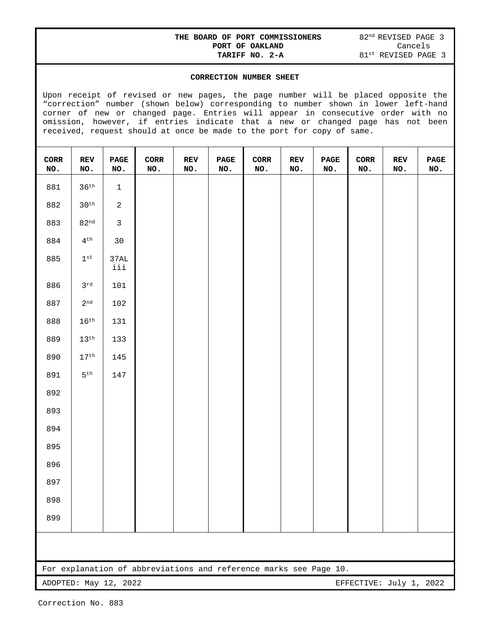# **THE BOARD OF PORT COMMISSIONERS** 82<sup>nd</sup> REVISED PAGE 3<br>**PORT OF OAKLAND** Cancels  **PORT OF OAKLAND<br>TARIFF NO. 2-A**

# **CORRECTION NUMBER SHEET**

Upon receipt of revised or new pages, the page number will be placed opposite the "correction" number (shown below) corresponding to number shown in lower left-hand corner of new or changed page. Entries will appear in consecutive order with no omission, however, if entries indicate that a new or changed page has not been received, request should at once be made to the port for copy of same.

| $\mbox{CORR}$<br>NO. | REV<br>NO.                                       | $\ensuremath{\mathbf{P}}\ensuremath{\mathbf{AGE}}$<br>NO. | $\mbox{CORR}$<br>NO.                                              | REV<br>NO. | $\mathbf{PAGE}$<br>NO. | $\mbox{CORR}$<br>NO. | $\mathbf{REV}$<br>$\texttt{NO}$ . | $\mathbf{PAGE}$<br>NO. | CORR<br>NO. | REV<br>NO. | $\mathbf{PAGE}$<br>NO. |
|----------------------|--------------------------------------------------|-----------------------------------------------------------|-------------------------------------------------------------------|------------|------------------------|----------------------|-----------------------------------|------------------------|-------------|------------|------------------------|
| 881                  | $36^{th}$                                        | $\,1$                                                     |                                                                   |            |                        |                      |                                   |                        |             |            |                        |
| 882                  | $30^{\text{th}}$                                 | $\overline{a}$                                            |                                                                   |            |                        |                      |                                   |                        |             |            |                        |
| 883                  | 82 <sup>nd</sup>                                 | $\mathbf{3}$                                              |                                                                   |            |                        |                      |                                   |                        |             |            |                        |
| 884                  | $4^{\text{th}}$                                  | $30$                                                      |                                                                   |            |                        |                      |                                   |                        |             |            |                        |
| 885                  | $1^{\rm \,st}$                                   | $37\mbox{\AA}$<br>iii                                     |                                                                   |            |                        |                      |                                   |                        |             |            |                        |
| 886                  | $3^{\mathrm{rd}}$                                | 101                                                       |                                                                   |            |                        |                      |                                   |                        |             |            |                        |
| 887                  | $2^{\rm nd}$                                     | 102                                                       |                                                                   |            |                        |                      |                                   |                        |             |            |                        |
| 888                  | $16^{\text{th}}$                                 | 131                                                       |                                                                   |            |                        |                      |                                   |                        |             |            |                        |
| 889                  | $13^{\text{th}}$                                 | 133                                                       |                                                                   |            |                        |                      |                                   |                        |             |            |                        |
| 890                  | $17^{\text{th}}$                                 | 145                                                       |                                                                   |            |                        |                      |                                   |                        |             |            |                        |
| 891                  | $5^{\rm th}$                                     | 147                                                       |                                                                   |            |                        |                      |                                   |                        |             |            |                        |
| 892                  |                                                  |                                                           |                                                                   |            |                        |                      |                                   |                        |             |            |                        |
| 893                  |                                                  |                                                           |                                                                   |            |                        |                      |                                   |                        |             |            |                        |
| 894                  |                                                  |                                                           |                                                                   |            |                        |                      |                                   |                        |             |            |                        |
| 895                  |                                                  |                                                           |                                                                   |            |                        |                      |                                   |                        |             |            |                        |
| 896                  |                                                  |                                                           |                                                                   |            |                        |                      |                                   |                        |             |            |                        |
| 897                  |                                                  |                                                           |                                                                   |            |                        |                      |                                   |                        |             |            |                        |
| 898                  |                                                  |                                                           |                                                                   |            |                        |                      |                                   |                        |             |            |                        |
| 899                  |                                                  |                                                           |                                                                   |            |                        |                      |                                   |                        |             |            |                        |
|                      |                                                  |                                                           |                                                                   |            |                        |                      |                                   |                        |             |            |                        |
|                      |                                                  |                                                           | For explanation of abbreviations and reference marks see Page 10. |            |                        |                      |                                   |                        |             |            |                        |
|                      | EFFECTIVE: July 1, 2022<br>ADOPTED: May 12, 2022 |                                                           |                                                                   |            |                        |                      |                                   |                        |             |            |                        |